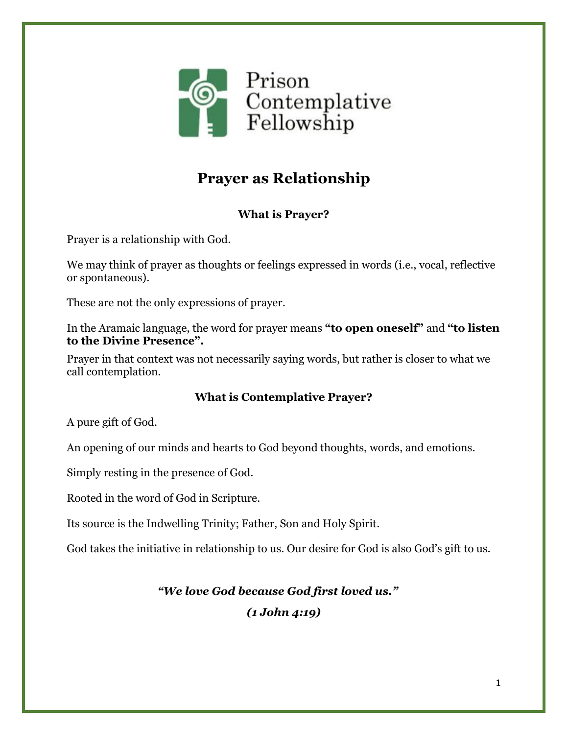

# **Prayer as Relationship**

### **What is Prayer?**

Prayer is a relationship with God.

We may think of prayer as thoughts or feelings expressed in words (i.e., vocal, reflective or spontaneous).

These are not the only expressions of prayer.

In the Aramaic language, the word for prayer means **"to open oneself"** and **"to listen to the Divine Presence".**

Prayer in that context was not necessarily saying words, but rather is closer to what we call contemplation.

#### **What is Contemplative Prayer?**

A pure gift of God.

An opening of our minds and hearts to God beyond thoughts, words, and emotions.

Simply resting in the presence of God.

Rooted in the word of God in Scripture.

Its source is the Indwelling Trinity; Father, Son and Holy Spirit.

God takes the initiative in relationship to us. Our desire for God is also God's gift to us.

## *"We love God because God first loved us." (1 John 4:19)*